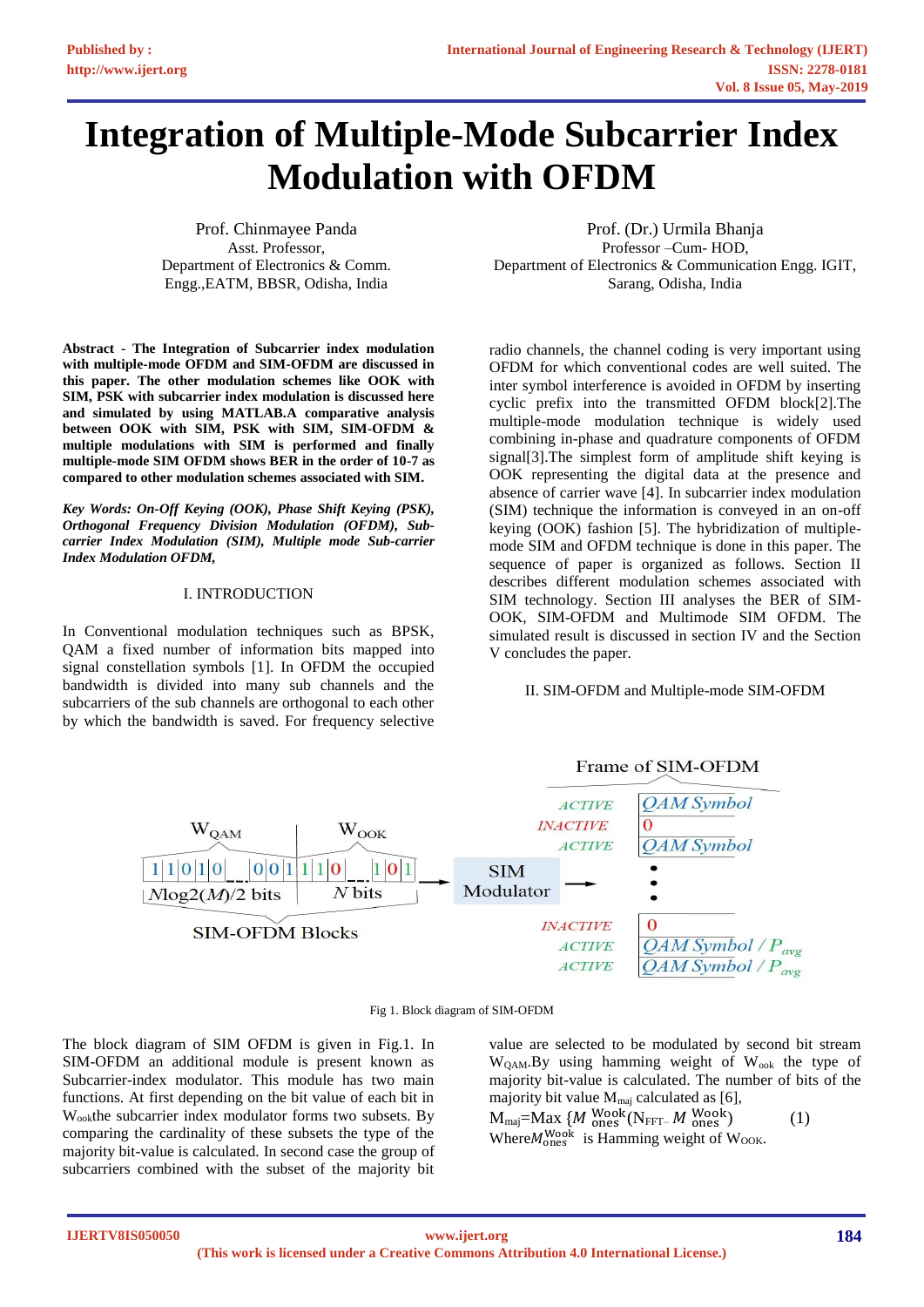# **Integration of Multiple-Mode Subcarrier Index Modulation with OFDM**

Prof. Chinmayee Panda Asst. Professor, Department of Electronics & Comm. Engg.,EATM, BBSR, Odisha, India

**Abstract - The Integration of Subcarrier index modulation with multiple-mode OFDM and SIM-OFDM are discussed in this paper. The other modulation schemes like OOK with SIM, PSK with subcarrier index modulation is discussed here and simulated by using MATLAB.A comparative analysis between OOK with SIM, PSK with SIM, SIM-OFDM & multiple modulations with SIM is performed and finally multiple-mode SIM OFDM shows BER in the order of 10-7 as compared to other modulation schemes associated with SIM.**

*Key Words: On-Off Keying (OOK), Phase Shift Keying (PSK), Orthogonal Frequency Division Modulation (OFDM), Subcarrier Index Modulation (SIM), Multiple mode Sub-carrier Index Modulation OFDM,*

## I. INTRODUCTION

In Conventional modulation techniques such as BPSK, QAM a fixed number of information bits mapped into signal constellation symbols [1]. In OFDM the occupied bandwidth is divided into many sub channels and the subcarriers of the sub channels are orthogonal to each other by which the bandwidth is saved. For frequency selective

Prof. (Dr.) Urmila Bhanja Professor –Cum- HOD, Department of Electronics & Communication Engg. IGIT, Sarang, Odisha, India

radio channels, the channel coding is very important using OFDM for which conventional codes are well suited. The inter symbol interference is avoided in OFDM by inserting cyclic prefix into the transmitted OFDM block[2].The multiple-mode modulation technique is widely used combining in-phase and quadrature components of OFDM signal[3].The simplest form of amplitude shift keying is OOK representing the digital data at the presence and absence of carrier wave [4]. In subcarrier index modulation (SIM) technique the information is conveyed in an on-off keying (OOK) fashion [5]. The hybridization of multiplemode SIM and OFDM technique is done in this paper. The sequence of paper is organized as follows. Section II describes different modulation schemes associated with SIM technology. Section III analyses the BER of SIM-OOK, SIM-OFDM and Multimode SIM OFDM. The simulated result is discussed in section IV and the Section V concludes the paper.

## II. SIM-OFDM and Multiple-mode SIM-OFDM



Fig 1. Block diagram of SIM-OFDM

The block diagram of SIM OFDM is given in Fig.1. In SIM-OFDM an additional module is present known as Subcarrier-index modulator. This module has two main functions. At first depending on the bit value of each bit in W<sub>ook</sub>the subcarrier index modulator forms two subsets. By comparing the cardinality of these subsets the type of the majority bit-value is calculated. In second case the group of subcarriers combined with the subset of the majority bit

value are selected to be modulated by second bit stream  $W_{\text{OM}}$ . By using hamming weight of  $W_{\text{ook}}$  the type of majority bit-value is calculated. The number of bits of the majority bit value  $M_{\text{maj}}$  calculated as [6],

 $M_{\text{maj}} = \text{Max} \{ M \frac{\text{Wook}}{\text{ones}} (\text{N}_{\text{FFT}-} M \frac{\text{Wook}}{\text{ones}})$  (1) Where  $M_{\text{ones}}^{\text{Wook}}$  is Hamming weight of W<sub>OOK</sub>.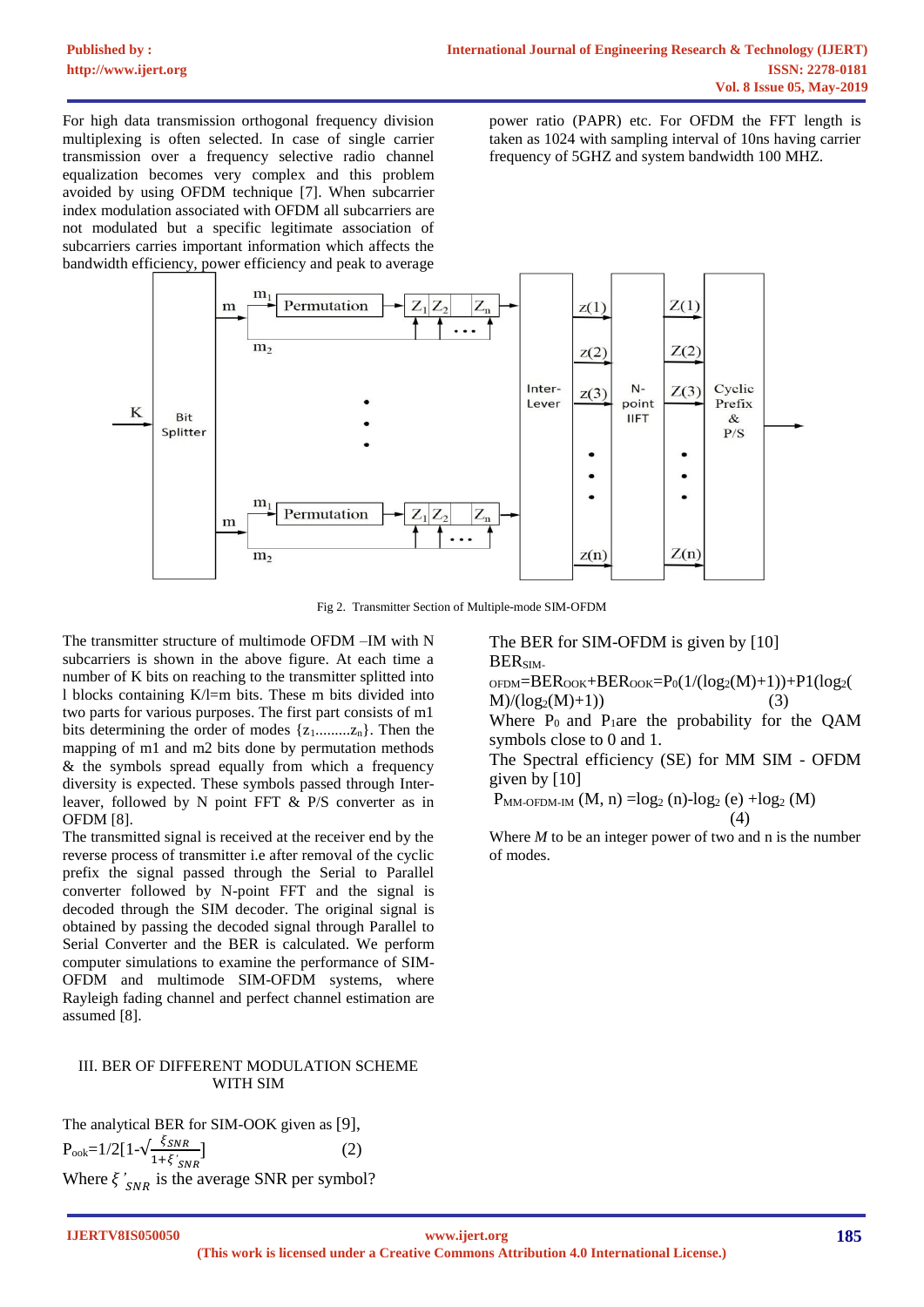For high data transmission orthogonal frequency division multiplexing is often selected. In case of single carrier transmission over a frequency selective radio channel equalization becomes very complex and this problem avoided by using OFDM technique [7]. When subcarrier index modulation associated with OFDM all subcarriers are not modulated but a specific legitimate association of subcarriers carries important information which affects the bandwidth efficiency, power efficiency and peak to average

power ratio (PAPR) etc. For OFDM the FFT length is taken as 1024 with sampling interval of 10ns having carrier frequency of 5GHZ and system bandwidth 100 MHZ.



Fig 2. Transmitter Section of Multiple-mode SIM-OFDM

The transmitter structure of multimode OFDM –IM with N subcarriers is shown in the above figure. At each time a number of K bits on reaching to the transmitter splitted into l blocks containing K/l=m bits. These m bits divided into two parts for various purposes. The first part consists of m1 bits determining the order of modes  $\{z_1, \ldots, z_n\}$ . Then the mapping of m1 and m2 bits done by permutation methods & the symbols spread equally from which a frequency diversity is expected. These symbols passed through Interleaver, followed by N point FFT & P/S converter as in OFDM [8].

The transmitted signal is received at the receiver end by the reverse process of transmitter i.e after removal of the cyclic prefix the signal passed through the Serial to Parallel converter followed by N-point FFT and the signal is decoded through the SIM decoder. The original signal is obtained by passing the decoded signal through Parallel to Serial Converter and the BER is calculated. We perform computer simulations to examine the performance of SIM-OFDM and multimode SIM-OFDM systems, where Rayleigh fading channel and perfect channel estimation are assumed [8].

# III. BER OF DIFFERENT MODULATION SCHEME WITH SIM

The analytical BER for SIM-OOK given as [9],  $P_{\text{ook}} = 1/2[1-\sqrt{\frac{\xi_{SNR}}{1+\xi}}]$  $1+\xi'_{SNR}$  $(2)$ Where  $\zeta'_{SNR}$  is the average SNR per symbol? The BER for SIM-OFDM is given by [10] BERSIM-

 $p_{\text{ODM}} = BER_{\text{OOK}} + BER_{\text{OOK}} = P_0(1/(log_2(M)+1)) + P1(log_2(M))$  $M)/(log_2(M)+1)$  (3)

Where  $P_0$  and  $P_1$ are the probability for the QAM symbols close to 0 and 1.

The Spectral efficiency (SE) for MM SIM - OFDM given by [10]

 $P_{MM\text{-}OFDM\text{-}IM}$   $(M, n) = log_2(n) - log_2(e) + log_2(M)$ (4)

Where *M* to be an integer power of two and n is the number of modes.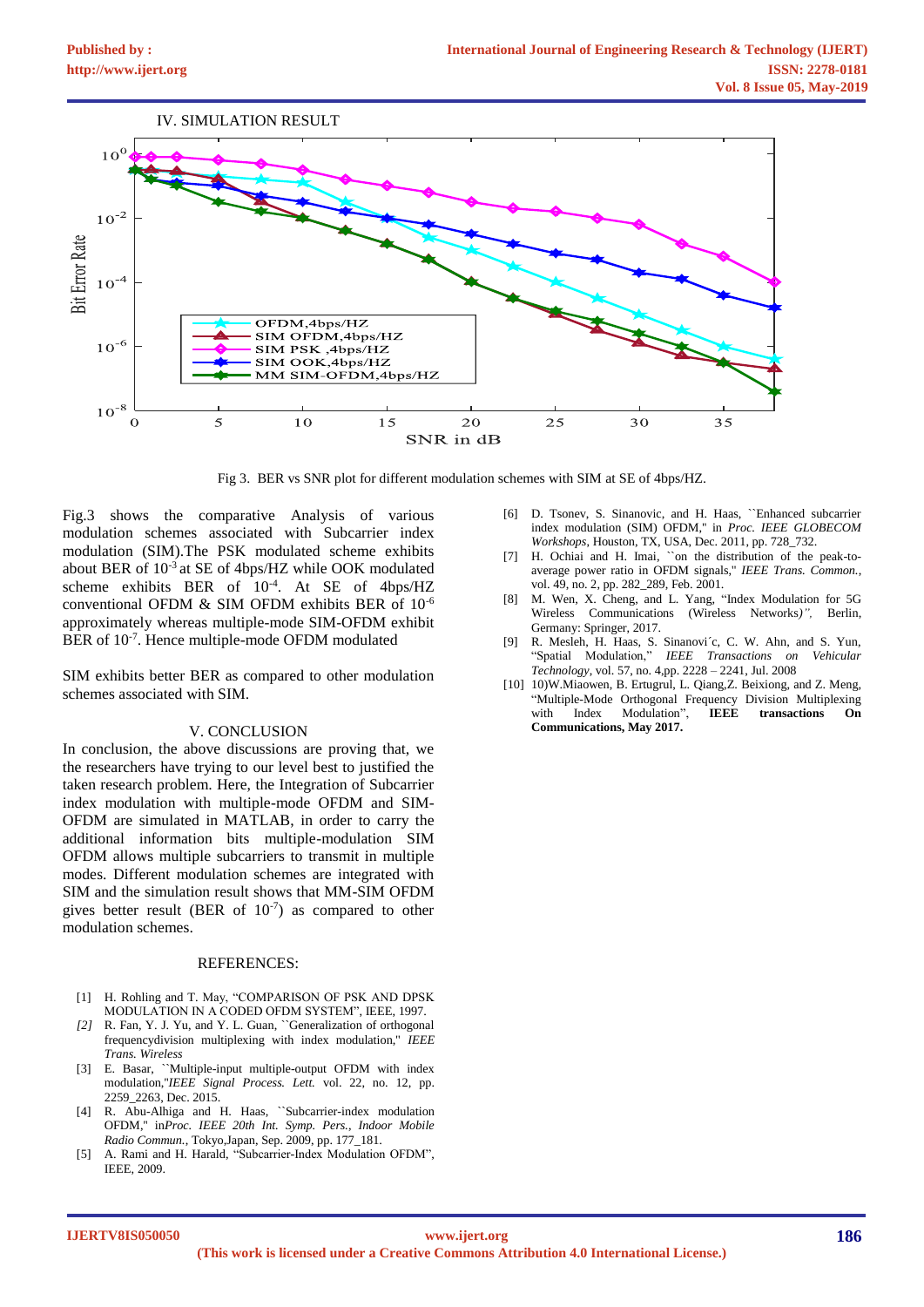

Fig 3. BER vs SNR plot for different modulation schemes with SIM at SE of 4bps/HZ.

Fig.3 shows the comparative Analysis of various modulation schemes associated with Subcarrier index modulation (SIM).The PSK modulated scheme exhibits about BER of 10-3 at SE of 4bps/HZ while OOK modulated scheme exhibits BER of 10-4 . At SE of 4bps/HZ conventional OFDM & SIM OFDM exhibits BER of 10-6 approximately whereas multiple-mode SIM-OFDM exhibit BER of 10<sup>-7</sup>. Hence multiple-mode OFDM modulated

SIM exhibits better BER as compared to other modulation schemes associated with SIM.

#### V. CONCLUSION

In conclusion, the above discussions are proving that, we the researchers have trying to our level best to justified the taken research problem. Here, the Integration of Subcarrier index modulation with multiple-mode OFDM and SIM-OFDM are simulated in MATLAB, in order to carry the additional information bits multiple-modulation SIM OFDM allows multiple subcarriers to transmit in multiple modes. Different modulation schemes are integrated with SIM and the simulation result shows that MM-SIM OFDM gives better result (BER of  $10^{-7}$ ) as compared to other modulation schemes.

### REFERENCES:

- [1] H. Rohling and T. May, "COMPARISON OF PSK AND DPSK MODULATION IN A CODED OFDM SYSTEM", IEEE, 1997.
- *[2]* R. Fan, Y. J. Yu, and Y. L. Guan, ``Generalization of orthogonal frequencydivision multiplexing with index modulation,'' *IEEE Trans. Wireless*
- [3] E. Basar, ``Multiple-input multiple-output OFDM with index modulation,''*IEEE Signal Process. Lett.* vol. 22, no. 12, pp. 2259\_2263, Dec. 2015.
- [4] R. Abu-Alhiga and H. Haas, ``Subcarrier-index modulation OFDM,'' in*Proc. IEEE 20th Int. Symp. Pers., Indoor Mobile Radio Commun.*, Tokyo,Japan, Sep. 2009, pp. 177\_181.
- [5] A. Rami and H. Harald, "Subcarrier-Index Modulation OFDM", IEEE, 2009.
- [6] D. Tsonev, S. Sinanovic, and H. Haas, ``Enhanced subcarrier index modulation (SIM) OFDM,'' in *Proc. IEEE GLOBECOM Workshops*, Houston, TX, USA, Dec. 2011, pp. 728\_732.
- [7] H. Ochiai and H. Imai, ``on the distribution of the peak-toaverage power ratio in OFDM signals,'' *IEEE Trans. Common.*, vol. 49, no. 2, pp. 282\_289, Feb. 2001.
- [8] M. Wen, X. Cheng, and L. Yang, "Index Modulation for 5G Wireless Communications (Wireless Networks*)",* Berlin, Germany: Springer, 2017.
- [9] R. Mesleh, H. Haas, S. Sinanovi´c, C. W. Ahn, and S. Yun, "Spatial Modulation," *IEEE Transactions on Vehicular Technology*, vol. 57, no. 4,pp. 2228 – 2241, Jul. 2008
- [10] 10)W.Miaowen, B. Ertugrul, L. Qiang,Z. Beixiong, and Z. Meng, "Multiple-Mode Orthogonal Frequency Division Multiplexing with Index Modulation", **IEEE transactions On Communications, May 2017.**